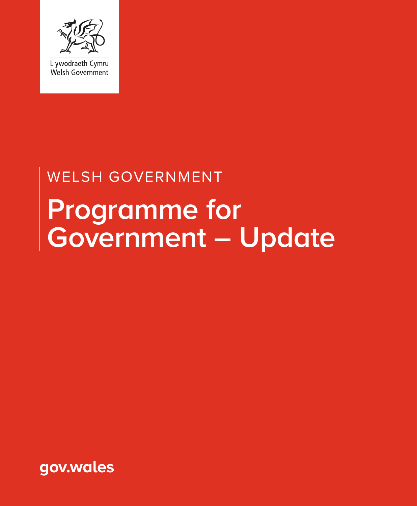

# **Programme for Government – Update** WELSH GOVERNMENT

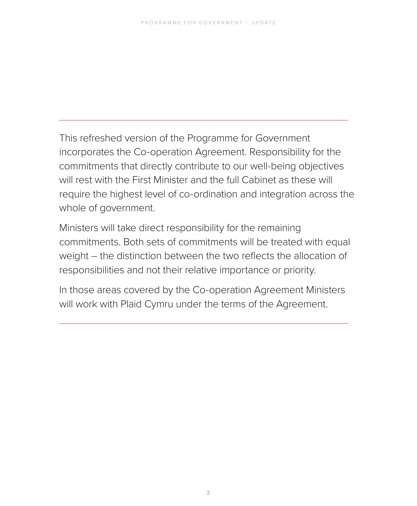This refreshed version of the Programme for Government incorporates the Co-operation Agreement. Responsibility for the commitments that directly contribute to our well-being objectives will rest with the First Minister and the full Cabinet as these will require the highest level of co-ordination and integration across the whole of government.

Ministers will take direct responsibility for the remaining commitments. Both sets of commitments will be treated with equal weight – the distinction between the two reflects the allocation of responsibilities and not their relative importance or priority.

In those areas covered by the Co-operation Agreement Ministers will work with Plaid Cymru under the terms of the Agreement.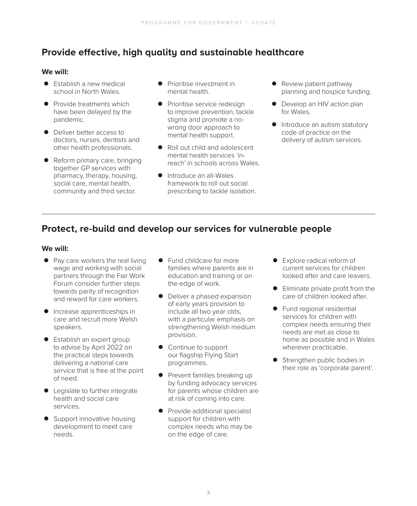## **Provide effective, high quality and sustainable healthcare**

#### **We will:**

- $\bullet$  Establish a new medical school in North Wales.
- Provide treatments which have been delayed by the pandemic.
- Deliver better access to doctors, nurses, dentists and other health professionals.
- Reform primary care, bringing together GP services with pharmacy, therapy, housing, social care, mental health, community and third sector.
- **•** Prioritise investment in mental health.
- Prioritise service redesign to improve prevention, tackle stigma and promote a nowrong door approach to mental health support.
- Roll out child and adolescent mental health services 'inreach' in schools across Wales.
- **•** Introduce an all-Wales framework to roll out social prescribing to tackle isolation.
- Review patient pathway planning and hospice funding.
- Develop an HIV action plan for Wales.
- **•** Introduce an autism statutory code of practice on the delivery of autism services.

#### **Protect, re-build and develop our services for vulnerable people**

- Pay care workers the real living wage and working with social partners through the Fair Work Forum consider further steps towards parity of recognition and reward for care workers.
- **•** Increase apprenticeships in care and recruit more Welsh speakers.
- **•** Establish an expert group to advise by April 2022 on the practical steps towards delivering a national care service that is free at the point of need.
- Legislate to further integrate health and social care services.
- Support innovative housing development to meet care needs.
- Fund childcare for more families where parents are in education and training or on the edge of work.
- Deliver a phased expansion of early years provision to include all two year olds, with a particular emphasis on strengthening Welsh medium provision.
- Continue to support our flagship Flying Start programmes.
- Prevent families breaking up by funding advocacy services for parents whose children are at risk of coming into care.
- Provide additional specialist support for children with complex needs who may be on the edge of care.
- **•** Explore radical reform of current services for children looked after and care leavers.
- $\bullet$  Eliminate private profit from the care of children looked after.
- $\bullet$  Fund regional residential services for children with complex needs ensuring their needs are met as close to home as possible and in Wales wherever practicable.
- Strengthen public bodies in their role as 'corporate parent'.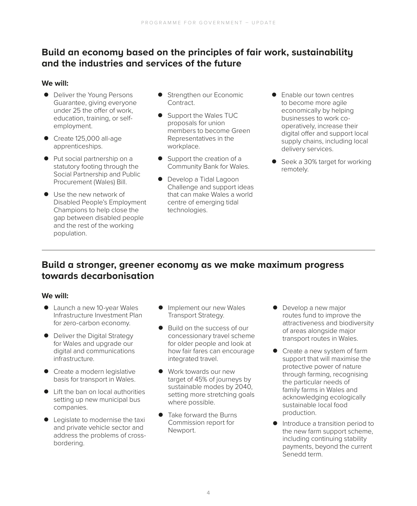#### **Build an economy based on the principles of fair work, sustainability and the industries and services of the future**

#### **We will:**

- Deliver the Young Persons Guarantee, giving everyone under 25 the offer of work, education, training, or selfemployment.
- $\bullet$  Create 125,000 all-age apprenticeships.
- Put social partnership on a statutory footing through the Social Partnership and Public Procurement (Wales) Bill.
- Use the new network of Disabled People's Employment Champions to help close the gap between disabled people and the rest of the working population.
- Strengthen our Economic Contract.
- Support the Wales TUC proposals for union members to become Green Representatives in the workplace.
- $\bullet$  Support the creation of a Community Bank for Wales.
- **•** Develop a Tidal Lagoon Challenge and support ideas that can make Wales a world centre of emerging tidal technologies.
- **•** Enable our town centres to become more agile economically by helping businesses to work cooperatively, increase their digital offer and support local supply chains, including local delivery services.
- Seek a 30% target for working remotely.

## **Build a stronger, greener economy as we make maximum progress towards decarbonisation**

- Launch a new 10-year Wales Infrastructure Investment Plan for zero-carbon economy.
- Deliver the Digital Strategy for Wales and upgrade our digital and communications infrastructure.
- Create a modern legislative basis for transport in Wales.
- Lift the ban on local authorities setting up new municipal bus companies.
- Legislate to modernise the taxi and private vehicle sector and address the problems of crossbordering.
- **•** Implement our new Wales Transport Strategy.
- Build on the success of our concessionary travel scheme for older people and look at how fair fares can encourage integrated travel.
- Work towards our new target of 45% of journeys by sustainable modes by 2040, setting more stretching goals where possible.
- Take forward the Burns Commission report for Newport.
- Develop a new major routes fund to improve the attractiveness and biodiversity of areas alongside major transport routes in Wales.
- $\bullet$  Create a new system of farm support that will maximise the protective power of nature through farming, recognising the particular needs of family farms in Wales and acknowledging ecologically sustainable local food production.
- **•** Introduce a transition period to the new farm support scheme, including continuing stability payments, beyond the current Senedd term.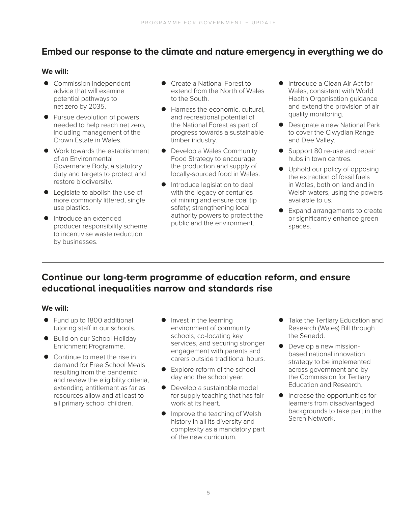#### **Embed our response to the climate and nature emergency in everything we do**

#### **We will:**

- Commission independent advice that will examine potential pathways to net zero by 2035.
- Pursue devolution of powers needed to help reach net zero, including management of the Crown Estate in Wales.
- Work towards the establishment of an Environmental Governance Body, a statutory duty and targets to protect and restore biodiversity.
- $\bullet$  Legislate to abolish the use of more commonly littered, single use plastics.
- **•** Introduce an extended producer responsibility scheme to incentivise waste reduction by businesses.
- **•** Create a National Forest to extend from the North of Wales to the South.
- Harness the economic, cultural, and recreational potential of the National Forest as part of progress towards a sustainable timber industry.
- **•** Develop a Wales Community Food Strategy to encourage the production and supply of locally-sourced food in Wales.
- **•** Introduce legislation to deal with the legacy of centuries of mining and ensure coal tip safety; strengthening local authority powers to protect the public and the environment.
- Introduce a Clean Air Act for Wales, consistent with World Health Organisation guidance and extend the provision of air quality monitoring.
- **•** Designate a new National Park to cover the Clwydian Range and Dee Valley.
- Support 80 re-use and repair hubs in town centres.
- $\bullet$  Uphold our policy of opposing the extraction of fossil fuels in Wales, both on land and in Welsh waters, using the powers available to us.
- Expand arrangements to create or significantly enhance green spaces.

#### **Continue our long-term programme of education reform, and ensure educational inequalities narrow and standards rise**

- Fund up to 1800 additional tutoring staff in our schools.
- **•** Build on our School Holiday Enrichment Programme.
- Continue to meet the rise in demand for Free School Meals resulting from the pandemic and review the eligibility criteria, extending entitlement as far as resources allow and at least to all primary school children.
- $\bullet$  Invest in the learning environment of community schools, co-locating key services, and securing stronger engagement with parents and carers outside traditional hours.
- Explore reform of the school day and the school year.
- $\bullet$  Develop a sustainable model for supply teaching that has fair work at its heart.
- **•** Improve the teaching of Welsh history in all its diversity and complexity as a mandatory part of the new curriculum.
- **•** Take the Tertiary Education and Research (Wales) Bill through the Senedd.
- $\bullet$  Develop a new missionbased national innovation strategy to be implemented across government and by the Commission for Tertiary Education and Research.
- **•** Increase the opportunities for learners from disadvantaged backgrounds to take part in the Seren Network.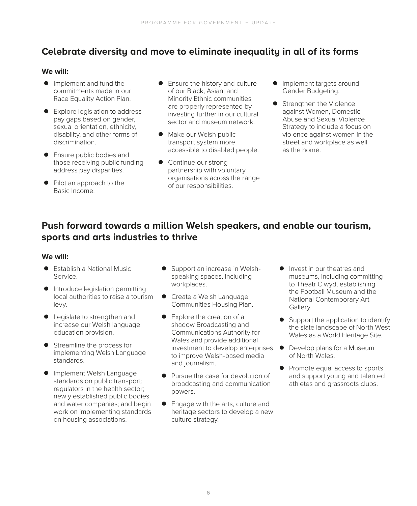## **Celebrate diversity and move to eliminate inequality in all of its forms**

#### **We will:**

- Implement and fund the commitments made in our Race Equality Action Plan.
- Explore legislation to address pay gaps based on gender, sexual orientation, ethnicity, disability, and other forms of discrimination.
- Ensure public bodies and those receiving public funding address pay disparities.
- Pilot an approach to the Basic Income.
- Ensure the history and culture of our Black, Asian, and Minority Ethnic communities are properly represented by investing further in our cultural sector and museum network.
- Make our Welsh public transport system more accessible to disabled people.
- Continue our strong partnership with voluntary organisations across the range of our responsibilities.
- **•** Implement targets around Gender Budgeting.
- $\bullet$  Strengthen the Violence against Women, Domestic Abuse and Sexual Violence Strategy to include a focus on violence against women in the street and workplace as well as the home.

## **Push forward towards a million Welsh speakers, and enable our tourism, sports and arts industries to thrive**

- $\bullet$  Establish a National Music Service.
- $\bullet$  Introduce legislation permitting local authorities to raise a tourism levy.
- Legislate to strengthen and increase our Welsh language education provision.
- Streamline the process for implementing Welsh Language standards.
- **•** Implement Welsh Language standards on public transport; regulators in the health sector; newly established public bodies and water companies; and begin work on implementing standards on housing associations.
- Support an increase in Welshspeaking spaces, including workplaces.
- Create a Welsh Language Communities Housing Plan.
- $\bullet$  Explore the creation of a shadow Broadcasting and Communications Authority for Wales and provide additional investment to develop enterprises to improve Welsh-based media and journalism.
- Pursue the case for devolution of broadcasting and communication powers.
- Engage with the arts, culture and heritage sectors to develop a new culture strategy.
- **•** Invest in our theatres and museums, including committing to Theatr Clwyd, establishing the Football Museum and the National Contemporary Art Gallery.
- $\bullet$  Support the application to identify the slate landscape of North West Wales as a World Heritage Site.
- **•** Develop plans for a Museum of North Wales.
- $\bullet$  Promote equal access to sports and support young and talented athletes and grassroots clubs.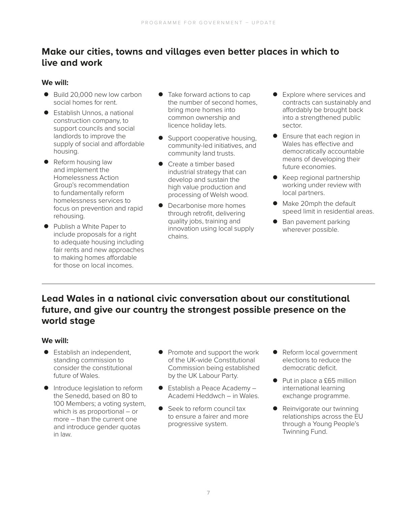## **Make our cities, towns and villages even better places in which to live and work**

#### **We will:**

- $\bullet$  Build 20,000 new low carbon social homes for rent.
- **•** Establish Unnos, a national construction company, to support councils and social landlords to improve the supply of social and affordable housing.
- Reform housing law and implement the Homelessness Action Group's recommendation to fundamentally reform homelessness services to focus on prevention and rapid rehousing.
- Publish a White Paper to include proposals for a right to adequate housing including fair rents and new approaches to making homes affordable for those on local incomes.
- Take forward actions to cap the number of second homes, bring more homes into common ownership and licence holiday lets.
- Support cooperative housing, community-led initiatives, and community land trusts.
- Create a timber based industrial strategy that can develop and sustain the high value production and processing of Welsh wood.
- Decarbonise more homes through retrofit, delivering quality jobs, training and innovation using local supply chains.
- $\bullet$  Explore where services and contracts can sustainably and affordably be brought back into a strengthened public sector.
- **•** Ensure that each region in Wales has effective and democratically accountable means of developing their future economies.
- Keep regional partnership working under review with local partners.
- Make 20mph the default speed limit in residential areas.
- Ban pavement parking wherever possible.

## **Lead Wales in a national civic conversation about our constitutional future, and give our country the strongest possible presence on the world stage**

- **•** Establish an independent, standing commission to consider the constitutional future of Wales.
- **•** Introduce legislation to reform the Senedd, based on 80 to 100 Members; a voting system, which is as proportional – or more – than the current one and introduce gender quotas in law.
- $\bullet$  Promote and support the work of the UK-wide Constitutional Commission being established by the UK Labour Party.
- Establish a Peace Academy Academi Heddwch – in Wales.
- Seek to reform council tax to ensure a fairer and more progressive system.
- Reform local government elections to reduce the democratic deficit.
- Put in place a £65 million international learning exchange programme.
- $\bullet$  Reinvigorate our twinning relationships across the EU through a Young People's Twinning Fund.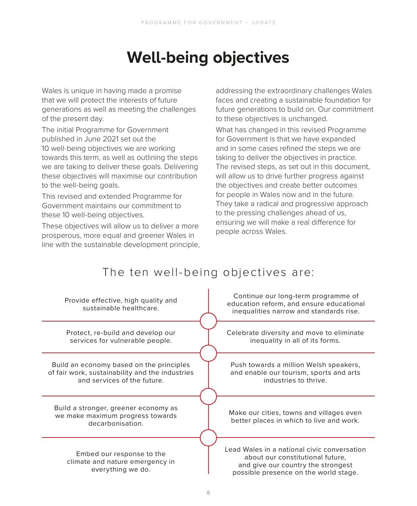## **Well-being objectives**

Wales is unique in having made a promise that we will protect the interests of future generations as well as meeting the challenges of the present day.

The initial Programme for Government published in June 2021 set out the 10 well-being objectives we are working towards this term, as well as outlining the steps we are taking to deliver these goals. Delivering these objectives will maximise our contribution to the well-being goals.

This revised and extended Programme for Government maintains our commitment to these 10 well-being objectives.

These objectives will allow us to deliver a more prosperous, more equal and greener Wales in line with the sustainable development principle, addressing the extraordinary challenges Wales faces and creating a sustainable foundation for future generations to build on. Our commitment to these objectives is unchanged.

What has changed in this revised Programme for Government is that we have expanded and in some cases refined the steps we are taking to deliver the objectives in practice. The revised steps, as set out in this document, will allow us to drive further progress against the objectives and create better outcomes for people in Wales now and in the future. They take a radical and progressive approach to the pressing challenges ahead of us, ensuring we will make a real difference for people across Wales.

## The ten well-being objectives are:

| Provide effective, high quality and<br>sustainable healthcare.                                                             | Continue our long-term programme of<br>education reform, and ensure educational<br>inequalities narrow and standards rise.                                     |
|----------------------------------------------------------------------------------------------------------------------------|----------------------------------------------------------------------------------------------------------------------------------------------------------------|
| Protect, re-build and develop our<br>services for vulnerable people.                                                       | Celebrate diversity and move to eliminate<br>inequality in all of its forms.                                                                                   |
| Build an economy based on the principles<br>of fair work, sustainability and the industries<br>and services of the future. | Push towards a million Welsh speakers,<br>and enable our tourism, sports and arts<br>industries to thrive.                                                     |
| Build a stronger, greener economy as<br>we make maximum progress towards<br>decarbonisation.                               | Make our cities, towns and villages even<br>better places in which to live and work.                                                                           |
| Embed our response to the<br>climate and nature emergency in<br>everything we do.                                          | Lead Wales in a national civic conversation<br>about our constitutional future,<br>and give our country the strongest<br>possible presence on the world stage. |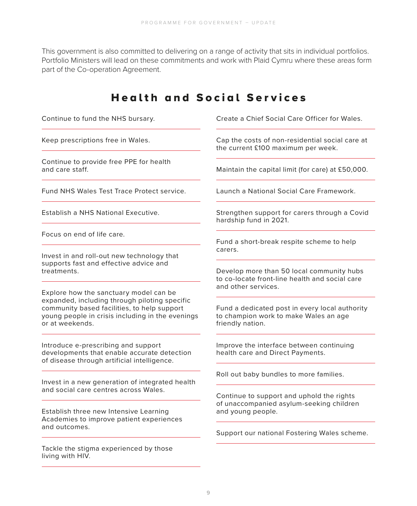This government is also committed to delivering on a range of activity that sits in individual portfolios. Portfolio Ministers will lead on these commitments and work with Plaid Cymru where these areas form part of the Co-operation Agreement.

#### Health and Social Services Continue to fund the NHS bursary. Keep prescriptions free in Wales. Continue to provide free PPE for health and care staff. Fund NHS Wales Test Trace Protect service. Establish a NHS National Executive. Focus on end of life care. Invest in and roll-out new technology that supports fast and effective advice and treatments. Explore how the sanctuary model can be expanded, including through piloting specific community based facilities, to help support young people in crisis including in the evenings or at weekends. Introduce e-prescribing and support developments that enable accurate detection of disease through artificial intelligence. Invest in a new generation of integrated health and social care centres across Wales. Establish three new Intensive Learning Academies to improve patient experiences and outcomes. Tackle the stigma experienced by those Create a Chief Social Care Officer for Wales. Cap the costs of non-residential social care at the current £100 maximum per week. Maintain the capital limit (for care) at £50,000. Launch a National Social Care Framework. Strengthen support for carers through a Covid hardship fund in 2021. Fund a short-break respite scheme to help carers. Develop more than 50 local community hubs to co-locate front-line health and social care and other services. Fund a dedicated post in every local authority to champion work to make Wales an age friendly nation. Improve the interface between continuing health care and Direct Payments. Roll out baby bundles to more families. Continue to support and uphold the rights of unaccompanied asylum-seeking children and young people. Support our national Fostering Wales scheme.

living with HIV.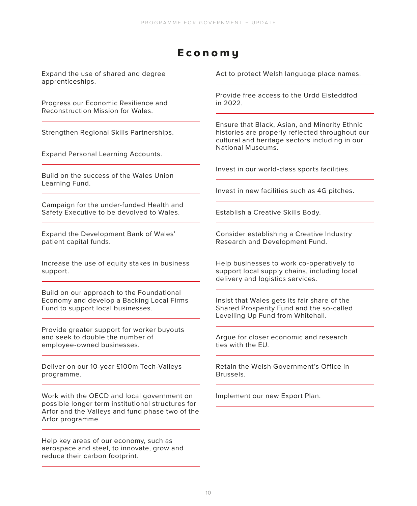## E c o n o m y

Expand the use of shared and degree apprenticeships.

Progress our Economic Resilience and Reconstruction Mission for Wales.

Strengthen Regional Skills Partnerships.

Expand Personal Learning Accounts.

Build on the success of the Wales Union Learning Fund.

Campaign for the under-funded Health and Safety Executive to be devolved to Wales.

Expand the Development Bank of Wales' patient capital funds.

Increase the use of equity stakes in business support.

Build on our approach to the Foundational Economy and develop a Backing Local Firms Fund to support local businesses.

Provide greater support for worker buyouts and seek to double the number of employee-owned businesses.

Deliver on our 10-year £100m Tech-Valleys programme.

Work with the OECD and local government on possible longer term institutional structures for Arfor and the Valleys and fund phase two of the Arfor programme.

Help key areas of our economy, such as aerospace and steel, to innovate, grow and reduce their carbon footprint.

Act to protect Welsh language place names.

Provide free access to the Urdd Eisteddfod in 2022.

Ensure that Black, Asian, and Minority Ethnic histories are properly reflected throughout our cultural and heritage sectors including in our National Museums.

Invest in our world-class sports facilities.

Invest in new facilities such as 4G pitches.

Establish a Creative Skills Body.

Consider establishing a Creative Industry Research and Development Fund.

Help businesses to work co-operatively to support local supply chains, including local delivery and logistics services.

Insist that Wales gets its fair share of the Shared Prosperity Fund and the so-called Levelling Up Fund from Whitehall.

Argue for closer economic and research ties with the EU.

Retain the Welsh Government's Office in Brussels.

Implement our new Export Plan.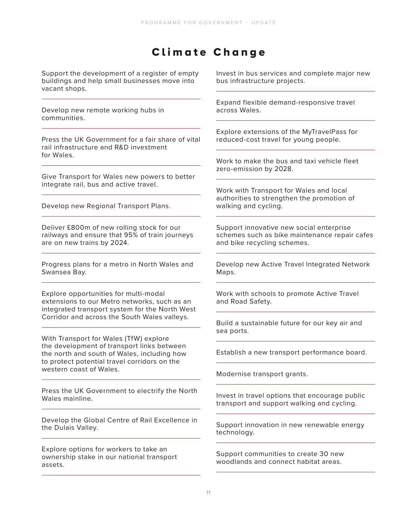## Climate Change

Support the development of a register of empty buildings and help small businesses move into vacant shops.

Develop new remote working hubs in communities.

Press the UK Government for a fair share of vital rail infrastructure and R&D investment for Wales.

Give Transport for Wales new powers to better integrate rail, bus and active travel.

Develop new Regional Transport Plans.

Deliver £800m of new rolling stock for our railways and ensure that 95% of train journeys are on new trains by 2024.

Progress plans for a metro in North Wales and Swansea Bay.

Explore opportunities for multi-modal extensions to our Metro networks, such as an integrated transport system for the North West Corridor and across the South Wales valleys.

With Transport for Wales (TfW) explore the development of transport links between the north and south of Wales, including how to protect potential travel corridors on the western coast of Wales.

Press the UK Government to electrify the North Wales mainline.

Develop the Global Centre of Rail Excellence in the Dulais Valley.

Explore options for workers to take an ownership stake in our national transport assets.

Invest in bus services and complete major new bus infrastructure projects.

Expand flexible demand-responsive travel across Wales.

Explore extensions of the MyTravelPass for reduced-cost travel for young people.

Work to make the bus and taxi vehicle fleet zero-emission by 2028.

Work with Transport for Wales and local authorities to strengthen the promotion of walking and cycling.

Support innovative new social enterprise schemes such as bike maintenance repair cafes and bike recycling schemes.

Develop new Active Travel Integrated Network Maps.

Work with schools to promote Active Travel and Road Safety.

Build a sustainable future for our key air and sea ports.

Establish a new transport performance board.

Modernise transport grants.

Invest in travel options that encourage public transport and support walking and cycling.

Support innovation in new renewable energy technology.

Support communities to create 30 new woodlands and connect habitat areas.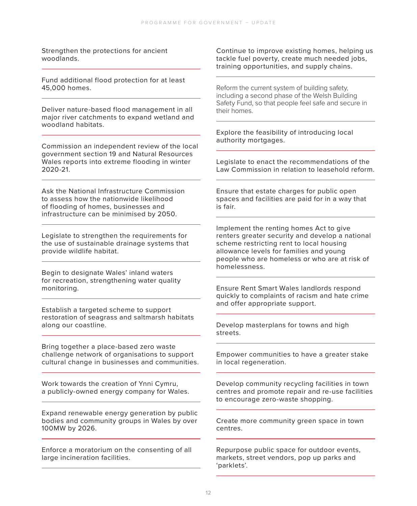Strengthen the protections for ancient woodlands.

Fund additional flood protection for at least 45,000 homes.

Deliver nature-based flood management in all major river catchments to expand wetland and woodland habitats.

Commission an independent review of the local government section 19 and Natural Resources Wales reports into extreme flooding in winter 2020-21.

Ask the National Infrastructure Commission to assess how the nationwide likelihood of flooding of homes, businesses and infrastructure can be minimised by 2050.

Legislate to strengthen the requirements for the use of sustainable drainage systems that provide wildlife habitat.

Begin to designate Wales' inland waters for recreation, strengthening water quality monitoring.

Establish a targeted scheme to support restoration of seagrass and saltmarsh habitats along our coastline.

Bring together a place-based zero waste challenge network of organisations to support cultural change in businesses and communities.

Work towards the creation of Ynni Cymru, a publicly-owned energy company for Wales.

Expand renewable energy generation by public bodies and community groups in Wales by over 100MW by 2026.

Enforce a moratorium on the consenting of all large incineration facilities.

Continue to improve existing homes, helping us tackle fuel poverty, create much needed jobs, training opportunities, and supply chains.

Reform the current system of building safety, including a second phase of the Welsh Building Safety Fund, so that people feel safe and secure in their homes.

Explore the feasibility of introducing local authority mortgages.

Legislate to enact the recommendations of the Law Commission in relation to leasehold reform.

Ensure that estate charges for public open spaces and facilities are paid for in a way that is fair.

Implement the renting homes Act to give renters greater security and develop a national scheme restricting rent to local housing allowance levels for families and young people who are homeless or who are at risk of homelessness.

Ensure Rent Smart Wales landlords respond quickly to complaints of racism and hate crime and offer appropriate support.

Develop masterplans for towns and high streets.

Empower communities to have a greater stake in local regeneration.

Develop community recycling facilities in town centres and promote repair and re-use facilities to encourage zero-waste shopping.

Create more community green space in town centres.

Repurpose public space for outdoor events, markets, street vendors, pop up parks and 'parklets'.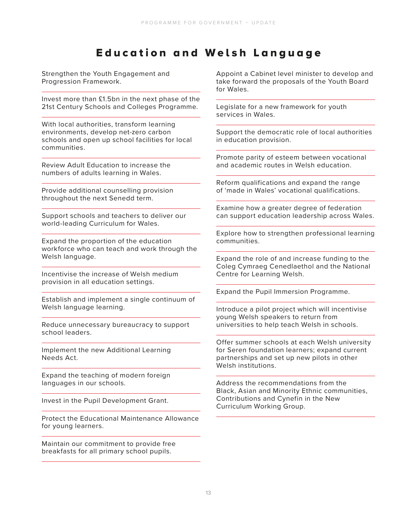## **Education and Welsh Language**

Strengthen the Youth Engagement and Progression Framework.

Invest more than £1.5bn in the next phase of the 21st Century Schools and Colleges Programme.

With local authorities, transform learning environments, develop net-zero carbon schools and open up school facilities for local communities.

Review Adult Education to increase the numbers of adults learning in Wales.

Provide additional counselling provision throughout the next Senedd term.

Support schools and teachers to deliver our world-leading Curriculum for Wales.

Expand the proportion of the education workforce who can teach and work through the Welsh language.

Incentivise the increase of Welsh medium provision in all education settings.

Establish and implement a single continuum of Welsh language learning.

Reduce unnecessary bureaucracy to support school leaders.

Implement the new Additional Learning Needs Act.

Expand the teaching of modern foreign languages in our schools.

Invest in the Pupil Development Grant.

Protect the Educational Maintenance Allowance for young learners.

Maintain our commitment to provide free breakfasts for all primary school pupils.

Appoint a Cabinet level minister to develop and take forward the proposals of the Youth Board for Wales.

Legislate for a new framework for youth services in Wales.

Support the democratic role of local authorities in education provision.

Promote parity of esteem between vocational and academic routes in Welsh education.

Reform qualifications and expand the range of 'made in Wales' vocational qualifications.

Examine how a greater degree of federation can support education leadership across Wales.

Explore how to strengthen professional learning communities.

Expand the role of and increase funding to the Coleg Cymraeg Cenedlaethol and the National Centre for Learning Welsh.

Expand the Pupil Immersion Programme.

Introduce a pilot project which will incentivise young Welsh speakers to return from universities to help teach Welsh in schools.

Offer summer schools at each Welsh university for Seren foundation learners; expand current partnerships and set up new pilots in other Welsh institutions.

Address the recommendations from the Black, Asian and Minority Ethnic communities, Contributions and Cynefin in the New Curriculum Working Group.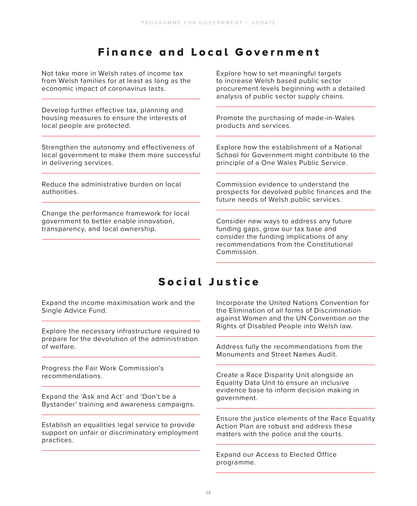## **Finance and Local Government**

Not take more in Welsh rates of income tax from Welsh families for at least as long as the economic impact of coronavirus lasts.

Develop further effective tax, planning and housing measures to ensure the interests of local people are protected.

Strengthen the autonomy and effectiveness of local government to make them more successful in delivering services.

Reduce the administrative burden on local authorities.

Change the performance framework for local government to better enable innovation, transparency, and local ownership.

Explore how to set meaningful targets to increase Welsh based public sector procurement levels beginning with a detailed analysis of public sector supply chains.

Promote the purchasing of made-in-Wales products and services.

Explore how the establishment of a National School for Government might contribute to the principle of a One Wales Public Service.

Commission evidence to understand the prospects for devolved public finances and the future needs of Welsh public services.

Consider new ways to address any future funding gaps, grow our tax base and consider the funding implications of any recommendations from the Constitutional Commission.

## Social Justice

Expand the income maximisation work and the Single Advice Fund.

Explore the necessary infrastructure required to prepare for the devolution of the administration of welfare.

Progress the Fair Work Commission's recommendations.

Expand the 'Ask and Act' and 'Don't be a Bystander' training and awareness campaigns.

Establish an equalities legal service to provide support on unfair or discriminatory employment practices.

Incorporate the United Nations Convention for the Elimination of all forms of Discrimination against Women and the UN Convention on the Rights of Disabled People into Welsh law.

Address fully the recommendations from the Monuments and Street Names Audit.

Create a Race Disparity Unit alongside an Equality Data Unit to ensure an inclusive evidence base to inform decision making in government.

Ensure the justice elements of the Race Equality Action Plan are robust and address these matters with the police and the courts.

Expand our Access to Elected Office programme.